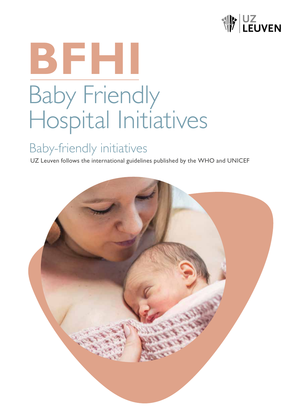

# **BFHI** Baby Friendly Hospital Initiatives

## Baby-friendly initiatives

UZ Leuven follows the international guidelines published by the WHO and UNICEF

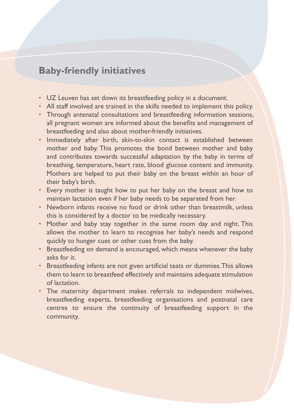### **Baby-friendly initiatives**

- UZ Leuven has set down its breastfeeding policy in a document.
- All staff involved are trained in the skills needed to implement this policy.
- Through antenatal consultations and breastfeeding information sessions, all pregnant women are informed about the benefits and management of breastfeeding and also about mother-friendly initiatives.
- Immediately after birth, skin-to-skin contact is established between mother and baby. This promotes the bond between mother and baby and contributes towards successful adaptation by the baby in terms of breathing, temperature, heart rate, blood glucose content and immunity. Mothers are helped to put their baby on the breast within an hour of their baby's birth.
- Every mother is taught how to put her baby on the breast and how to maintain lactation even if her baby needs to be separated from her.
- Newborn infants receive no food or drink other than breastmilk, unless this is considered by a doctor to be medically necessary.
- Mother and baby stay together in the same room day and night. This allows the mother to learn to recognise her baby's needs and respond quickly to hunger cues or other cues from the baby.
- Breastfeeding on demand is encouraged, which means whenever the baby asks for it.
- Breastfeeding infants are not given artificial teats or dummies. This allows them to learn to breastfeed effectively and maintains adequate stimulation of lactation.
- The maternity department makes referrals to independent midwives, breastfeeding experts, breastfeeding organisations and postnatal care centres to ensure the continuity of breastfeeding support in the community.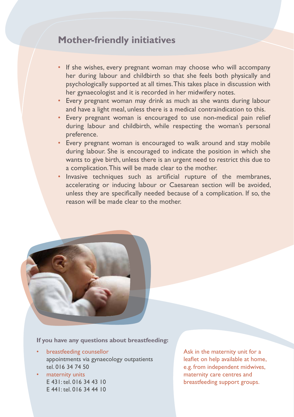#### **Mother-friendly initiatives**

- If she wishes, every pregnant woman may choose who will accompany her during labour and childbirth so that she feels both physically and psychologically supported at all times. This takes place in discussion with her gynaecologist and it is recorded in her midwifery notes.
- Every pregnant woman may drink as much as she wants during labour and have a light meal, unless there is a medical contraindication to this.
- Every pregnant woman is encouraged to use non-medical pain relief during labour and childbirth, while respecting the woman's personal preference.
- Every pregnant woman is encouraged to walk around and stay mobile during labour. She is encouraged to indicate the position in which she wants to give birth, unless there is an urgent need to restrict this due to a complication. This will be made clear to the mother.
- Invasive techniques such as artificial rupture of the membranes, accelerating or inducing labour or Caesarean section will be avoided, unless they are specifically needed because of a complication. If so, the reason will be made clear to the mother.



**If you have any questions about breastfeeding:**

- breastfeeding counsellor appointments via gynaecology outpatients tel. 016 34 74 50
- maternity units E 431: tel. 016 34 43 10 E 441: tel. 016 34 44 10

Ask in the maternity unit for a leaflet on help available at home, e.g. from independent midwives, maternity care centres and breastfeeding support groups.